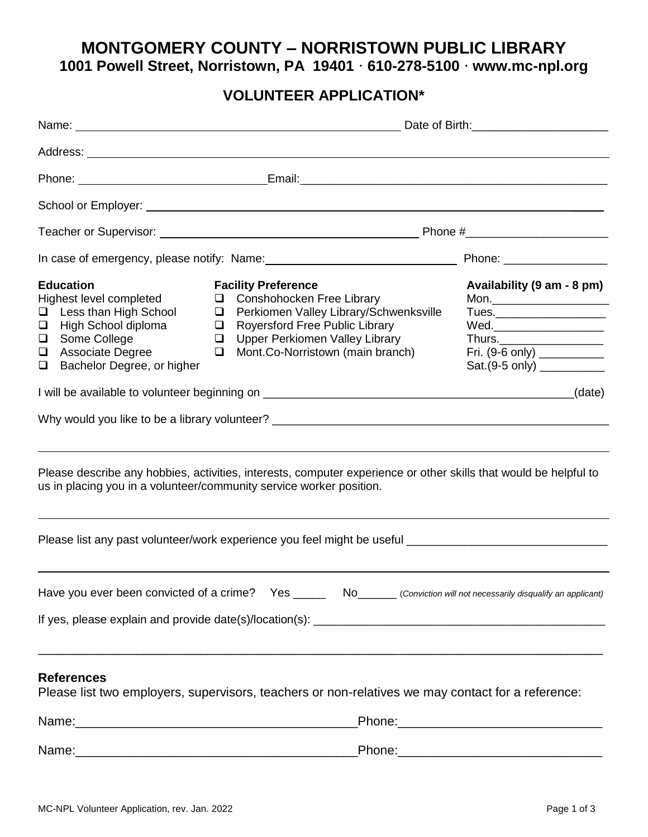# **MONTGOMERY COUNTY – NORRISTOWN PUBLIC LIBRARY 1001 Powell Street, Norristown, PA 19401 ⸱ 610-278-5100 ⸱ www.mc-npl.org**

## **VOLUNTEER APPLICATION\***

|                                                                                                                                                                                        | Date of Birth: 2008 and 2008 and 2008 and 2008 and 2008 and 2008 and 2008 and 2008 and 2008 and 2008 and 2008 and 2008 and 2008 and 2008 and 2008 and 2008 and 2008 and 2008 and 2008 and 2008 and 2008 and 2008 and 2008 and                                        |                                                                                                                                      |  |
|----------------------------------------------------------------------------------------------------------------------------------------------------------------------------------------|----------------------------------------------------------------------------------------------------------------------------------------------------------------------------------------------------------------------------------------------------------------------|--------------------------------------------------------------------------------------------------------------------------------------|--|
|                                                                                                                                                                                        |                                                                                                                                                                                                                                                                      |                                                                                                                                      |  |
|                                                                                                                                                                                        | Phone: <u>New York: New York: Email:</u> Contract Contract Contract Contract Contract Contract Contract Contract Contract Contract Contract Contract Contract Contract Contract Contract Contract Contract Contract Contract Contra                                  |                                                                                                                                      |  |
|                                                                                                                                                                                        |                                                                                                                                                                                                                                                                      |                                                                                                                                      |  |
|                                                                                                                                                                                        |                                                                                                                                                                                                                                                                      |                                                                                                                                      |  |
|                                                                                                                                                                                        |                                                                                                                                                                                                                                                                      |                                                                                                                                      |  |
| <b>Education</b><br>Highest level completed<br>Less than High School<br>□<br>High School diploma<br>❏<br>Some College<br>$\Box$<br>Associate Degree<br>Bachelor Degree, or higher<br>❏ | <b>Facility Preference</b><br>Conshohocken Free Library<br>□<br>Perkiomen Valley Library/Schwenksville<br>$\Box$<br><b>Royersford Free Public Library</b><br>$\Box$<br><b>Upper Perkiomen Valley Library</b><br>$\Box$<br>Mont.Co-Norristown (main branch)<br>$\Box$ | Availability (9 am - 8 pm)<br>Wed.__________________________<br>Fri. (9-6 only) ___________<br>Sat.(9-5 only) ____________<br>(date) |  |
|                                                                                                                                                                                        | Please describe any hobbies, activities, interests, computer experience or other skills that would be helpful to                                                                                                                                                     |                                                                                                                                      |  |
| us in placing you in a volunteer/community service worker position.                                                                                                                    |                                                                                                                                                                                                                                                                      |                                                                                                                                      |  |
|                                                                                                                                                                                        | Please list any past volunteer/work experience you feel might be useful ____________________________                                                                                                                                                                 |                                                                                                                                      |  |
|                                                                                                                                                                                        | Have you ever been convicted of a crime? Yes ______ No______ (Conviction will not necessarily disqualify an applicant)                                                                                                                                               |                                                                                                                                      |  |
| <b>References</b>                                                                                                                                                                      | Please list two employers, supervisors, teachers or non-relatives we may contact for a reference:                                                                                                                                                                    |                                                                                                                                      |  |
|                                                                                                                                                                                        |                                                                                                                                                                                                                                                                      |                                                                                                                                      |  |
|                                                                                                                                                                                        | Name: Phone: Phone: Phone: Phone: Phone: Phone: Phone: Phone: Phone: Phone: Phone: Phone: Phone: Phone: Phone: Phone: Phone: Phone: Phone: Phone: Phone: Phone: Phone: Phone: Phone: Phone: Phone: Phone: Phone: Phone: Phone:                                       |                                                                                                                                      |  |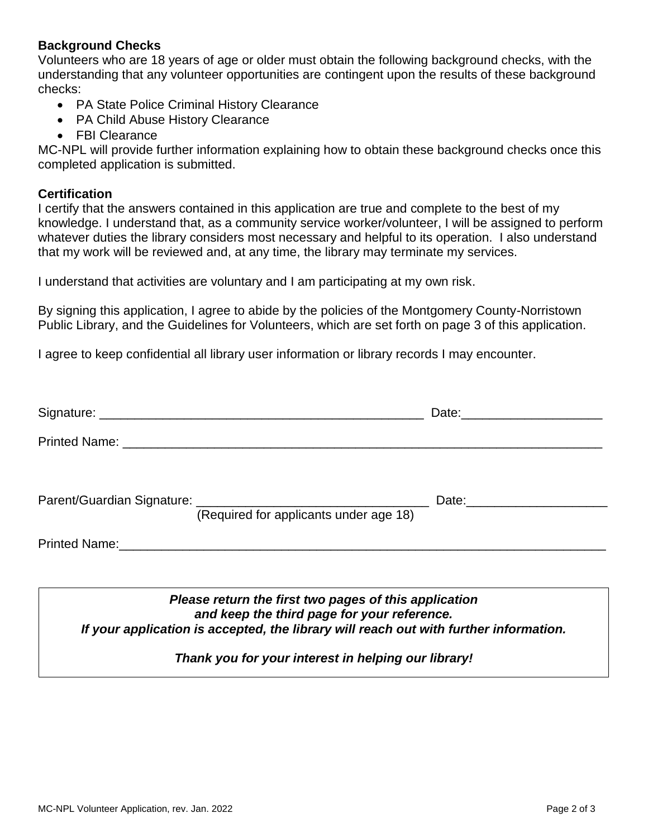### **Background Checks**

Volunteers who are 18 years of age or older must obtain the following background checks, with the understanding that any volunteer opportunities are contingent upon the results of these background checks:

- PA State Police Criminal History Clearance
- PA Child Abuse History Clearance
- FBI Clearance

MC-NPL will provide further information explaining how to obtain these background checks once this completed application is submitted.

#### **Certification**

I certify that the answers contained in this application are true and complete to the best of my knowledge. I understand that, as a community service worker/volunteer, I will be assigned to perform whatever duties the library considers most necessary and helpful to its operation. I also understand that my work will be reviewed and, at any time, the library may terminate my services.

I understand that activities are voluntary and I am participating at my own risk.

By signing this application, I agree to abide by the policies of the Montgomery County-Norristown Public Library, and the Guidelines for Volunteers, which are set forth on page 3 of this application.

I agree to keep confidential all library user information or library records I may encounter.

|  |                                        | Date: _________________________ |
|--|----------------------------------------|---------------------------------|
|  |                                        |                                 |
|  |                                        |                                 |
|  | (Required for applicants under age 18) |                                 |
|  |                                        |                                 |
|  |                                        |                                 |

*Please return the first two pages of this application and keep the third page for your reference. If your application is accepted, the library will reach out with further information.*

*Thank you for your interest in helping our library!*